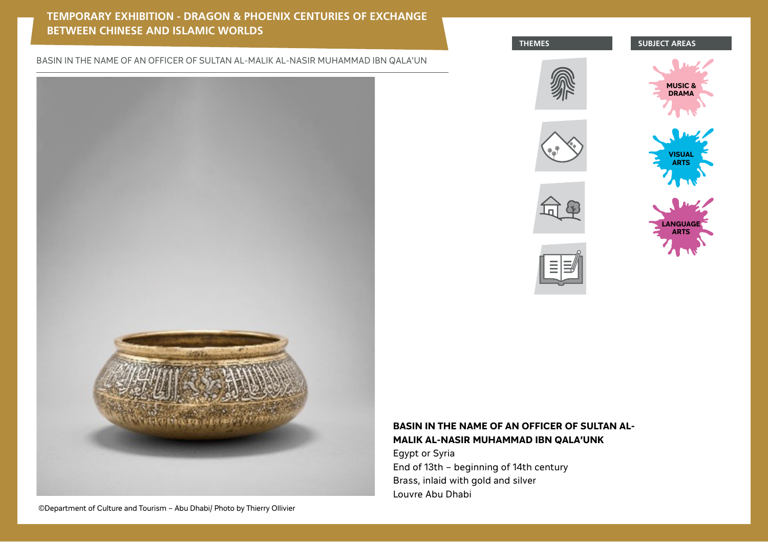# **TEMPORARY EXHIBITION - DRAGON & PHOENIX CENTURIES OF EXCHANGE BETWEEN CHINESE AND ISLAMIC WORLDS**

BASIN IN THE NAME OF AN OFFICER OF SULTAN AL-MALIK AL-NASIR MUHAMMAD IBN QALA'UN













# **BASIN IN THE NAME OF AN OFFICER OF SULTAN AL-MALIK AL-NASIR MUHAMMAD IBN QALA'UNK**

Egypt or Syria End of 13th – beginning of 14th century Brass, inlaid with gold and silver Louvre Abu Dhabi